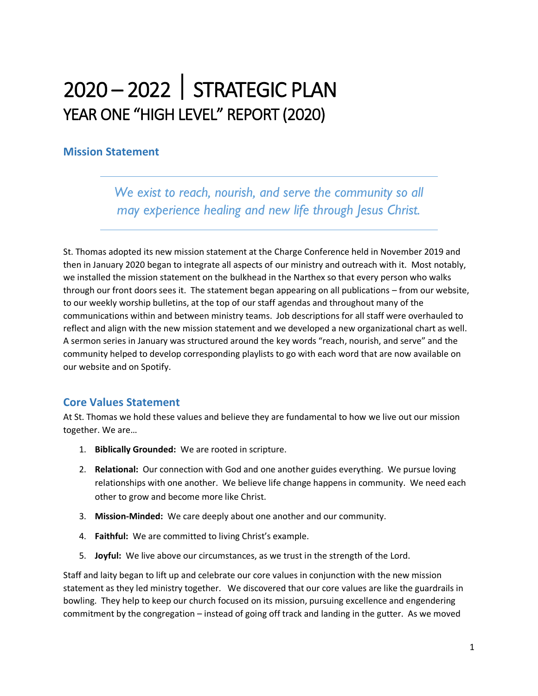# 2020 – 2022 STRATEGIC PLAN YEAR ONE "HIGH LEVEL" REPORT (2020)

### **Mission Statement**

*We exist to reach, nourish, and serve the community so all may experience healing and new life through Jesus Christ.* 

St. Thomas adopted its new mission statement at the Charge Conference held in November 2019 and then in January 2020 began to integrate all aspects of our ministry and outreach with it. Most notably, we installed the mission statement on the bulkhead in the Narthex so that every person who walks through our front doors sees it. The statement began appearing on all publications – from our website, to our weekly worship bulletins, at the top of our staff agendas and throughout many of the communications within and between ministry teams. Job descriptions for all staff were overhauled to reflect and align with the new mission statement and we developed a new organizational chart as well. A sermon series in January was structured around the key words "reach, nourish, and serve" and the community helped to develop corresponding playlists to go with each word that are now available on our website and on Spotify.

## **Core Values Statement**

At St. Thomas we hold these values and believe they are fundamental to how we live out our mission together. We are…

- 1. **Biblically Grounded:** We are rooted in scripture.
- 2. **Relational:** Our connection with God and one another guides everything. We pursue loving relationships with one another. We believe life change happens in community. We need each other to grow and become more like Christ.
- 3. **Mission-Minded:** We care deeply about one another and our community.
- 4. **Faithful:** We are committed to living Christ's example.
- 5. **Joyful:** We live above our circumstances, as we trust in the strength of the Lord.

Staff and laity began to lift up and celebrate our core values in conjunction with the new mission statement as they led ministry together. We discovered that our core values are like the guardrails in bowling. They help to keep our church focused on its mission, pursuing excellence and engendering commitment by the congregation – instead of going off track and landing in the gutter. As we moved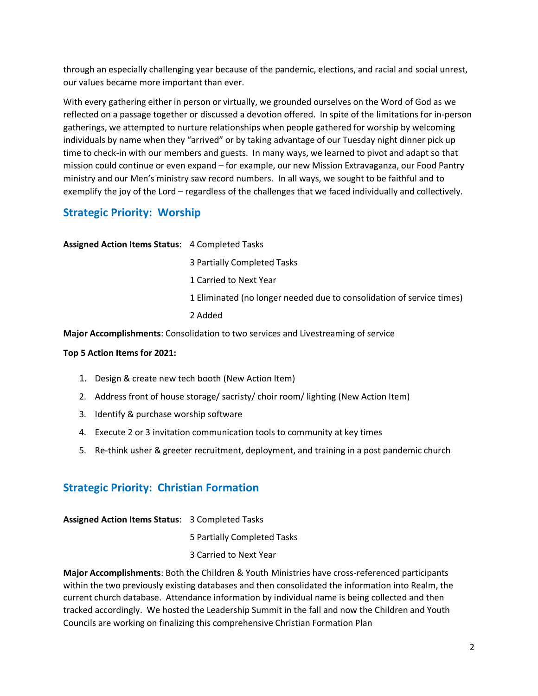through an especially challenging year because of the pandemic, elections, and racial and social unrest, our values became more important than ever.

With every gathering either in person or virtually, we grounded ourselves on the Word of God as we reflected on a passage together or discussed a devotion offered. In spite of the limitations for in-person gatherings, we attempted to nurture relationships when people gathered for worship by welcoming individuals by name when they "arrived" or by taking advantage of our Tuesday night dinner pick up time to check-in with our members and guests. In many ways, we learned to pivot and adapt so that mission could continue or even expand – for example, our new Mission Extravaganza, our Food Pantry ministry and our Men's ministry saw record numbers. In all ways, we sought to be faithful and to exemplify the joy of the Lord – regardless of the challenges that we faced individually and collectively.

# **Strategic Priority: Worship**

**Assigned Action Items Status**: 4 Completed Tasks 3 Partially Completed Tasks 1 Carried to Next Year 1 Eliminated (no longer needed due to consolidation of service times) 2 Added

**Major Accomplishments**: Consolidation to two services and Livestreaming of service

#### **Top 5 Action Items for 2021:**

- 1. Design & create new tech booth (New Action Item)
- 2. Address front of house storage/ sacristy/ choir room/ lighting (New Action Item)
- 3. Identify & purchase worship software
- 4. Execute 2 or 3 invitation communication tools to community at key times
- 5. Re-think usher & greeter recruitment, deployment, and training in a post pandemic church

## **Strategic Priority: Christian Formation**

| <b>Assigned Action Items Status: 3 Completed Tasks</b> |                             |
|--------------------------------------------------------|-----------------------------|
|                                                        | 5 Partially Completed Tasks |
|                                                        | 3 Carried to Next Year      |

**Major Accomplishments**: Both the Children & Youth Ministries have cross-referenced participants within the two previously existing databases and then consolidated the information into Realm, the current church database. Attendance information by individual name is being collected and then tracked accordingly. We hosted the Leadership Summit in the fall and now the Children and Youth Councils are working on finalizing this comprehensive Christian Formation Plan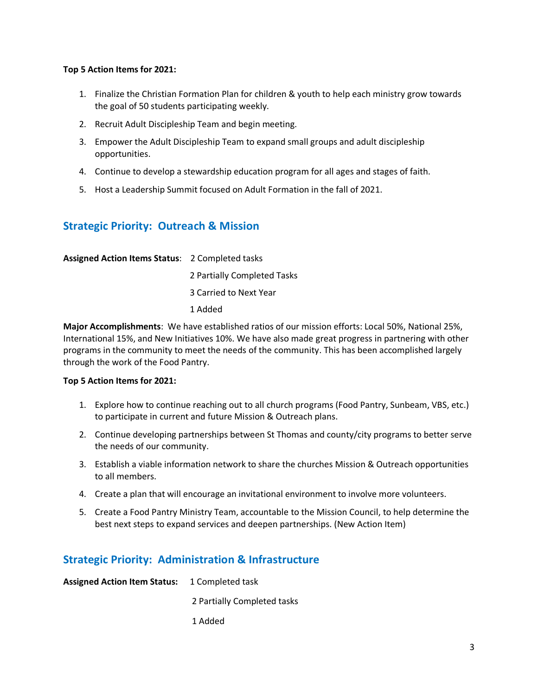#### **Top 5 Action Items for 2021:**

- 1. Finalize the Christian Formation Plan for children & youth to help each ministry grow towards the goal of 50 students participating weekly.
- 2. Recruit Adult Discipleship Team and begin meeting.
- 3. Empower the Adult Discipleship Team to expand small groups and adult discipleship opportunities.
- 4. Continue to develop a stewardship education program for all ages and stages of faith.
- 5. Host a Leadership Summit focused on Adult Formation in the fall of 2021.

## **Strategic Priority: Outreach & Mission**

**Assigned Action Items Status**: 2 Completed tasks 2 Partially Completed Tasks 3 Carried to Next Year 1 Added

**Major Accomplishments**: We have established ratios of our mission efforts: Local 50%, National 25%, International 15%, and New Initiatives 10%. We have also made great progress in partnering with other programs in the community to meet the needs of the community. This has been accomplished largely through the work of the Food Pantry.

#### **Top 5 Action Items for 2021:**

- 1. Explore how to continue reaching out to all church programs (Food Pantry, Sunbeam, VBS, etc.) to participate in current and future Mission & Outreach plans.
- 2. Continue developing partnerships between St Thomas and county/city programs to better serve the needs of our community.
- 3. Establish a viable information network to share the churches Mission & Outreach opportunities to all members.
- 4. Create a plan that will encourage an invitational environment to involve more volunteers.
- 5. Create a Food Pantry Ministry Team, accountable to the Mission Council, to help determine the best next steps to expand services and deepen partnerships. (New Action Item)

# **Strategic Priority: Administration & Infrastructure**

| <b>Assigned Action Item Status:</b> 1 Completed task |                             |
|------------------------------------------------------|-----------------------------|
|                                                      | 2 Partially Completed tasks |
|                                                      | 1 Added                     |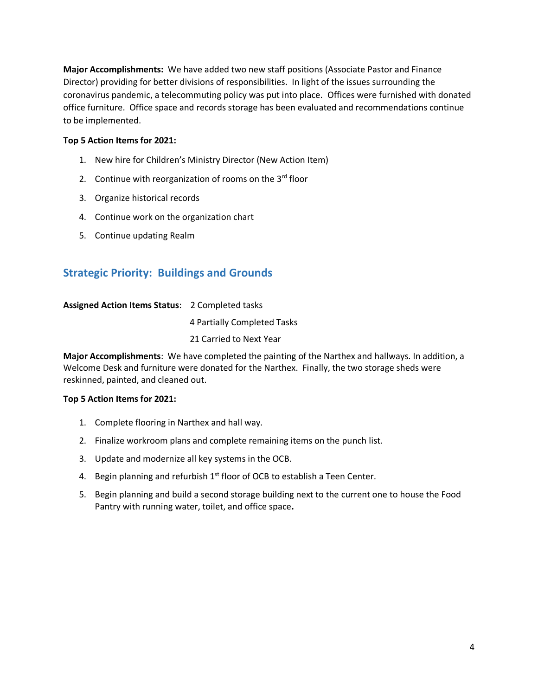**Major Accomplishments:** We have added two new staff positions (Associate Pastor and Finance Director) providing for better divisions of responsibilities. In light of the issues surrounding the coronavirus pandemic, a telecommuting policy was put into place. Offices were furnished with donated office furniture. Office space and records storage has been evaluated and recommendations continue to be implemented.

#### **Top 5 Action Items for 2021:**

- 1. New hire for Children's Ministry Director (New Action Item)
- 2. Continue with reorganization of rooms on the  $3<sup>rd</sup>$  floor
- 3. Organize historical records
- 4. Continue work on the organization chart
- 5. Continue updating Realm

## **Strategic Priority: Buildings and Grounds**

#### **Assigned Action Items Status**: 2 Completed tasks

4 Partially Completed Tasks

21 Carried to Next Year

**Major Accomplishments**: We have completed the painting of the Narthex and hallways. In addition, a Welcome Desk and furniture were donated for the Narthex. Finally, the two storage sheds were reskinned, painted, and cleaned out.

#### **Top 5 Action Items for 2021:**

- 1. Complete flooring in Narthex and hall way.
- 2. Finalize workroom plans and complete remaining items on the punch list.
- 3. Update and modernize all key systems in the OCB.
- 4. Begin planning and refurbish  $1<sup>st</sup>$  floor of OCB to establish a Teen Center.
- 5. Begin planning and build a second storage building next to the current one to house the Food Pantry with running water, toilet, and office space**.**